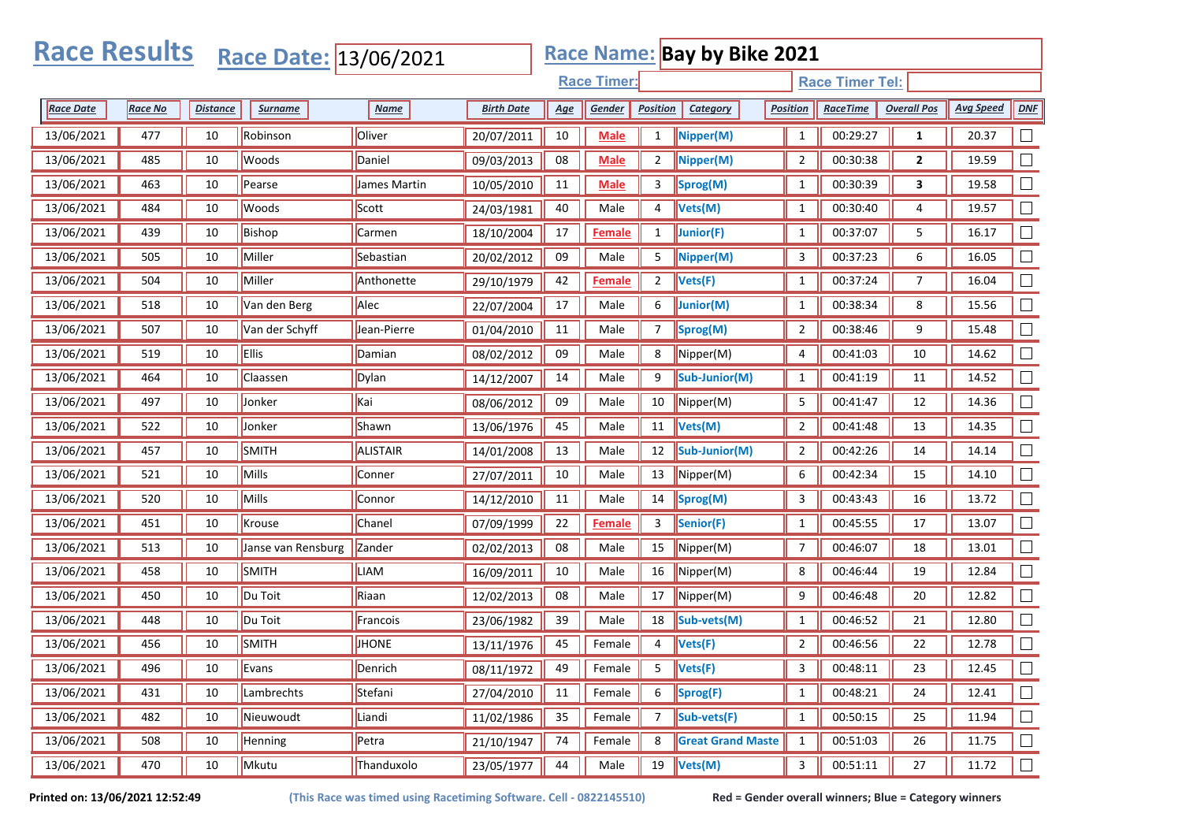| <b>Race Results</b><br><b>Race Name: Bay by Bike 2021</b><br>Race Date: 13/06/2021 |                |                 |                    |              |                      |                    |               |                 |                          |                |                        |                    |                  |        |  |  |
|------------------------------------------------------------------------------------|----------------|-----------------|--------------------|--------------|----------------------|--------------------|---------------|-----------------|--------------------------|----------------|------------------------|--------------------|------------------|--------|--|--|
|                                                                                    |                |                 |                    |              |                      | <b>Race Timer:</b> |               |                 |                          |                | <b>Race Timer Tel:</b> |                    |                  |        |  |  |
| <b>Race Date</b>                                                                   | <b>Race No</b> | <b>Distance</b> | <b>Surname</b>     | <b>Name</b>  | <b>Birth Date</b>    | <u>Age</u>         | Gender        | <b>Position</b> | Category                 | Position       | <b>RaceTime</b>        | <b>Overall Pos</b> | <b>Avg Speed</b> | DNF    |  |  |
| 13/06/2021                                                                         | 477            | 10              | Robinson           | Oliver       | 20/07/2011           | 10                 | <b>Male</b>   | $\mathbf{1}$    | Nipper(M)                | $\mathbf{1}$   | 00:29:27               | 1                  | 20.37            |        |  |  |
| 13/06/2021                                                                         | 485            | 10              | Woods              | Daniel       | 09/03/2013           | 08                 | <b>Male</b>   | $\overline{2}$  | Nipper(M)                | $\overline{2}$ | 00:30:38               | $\mathbf{2}$       | 19.59            |        |  |  |
| 13/06/2021                                                                         | 463            | 10              | Pearse             | James Martin | 10/05/2010           | 11                 | <b>Male</b>   | 3               | Sprog(M)                 | $\mathbf{1}$   | 00:30:39               | 3                  | 19.58            |        |  |  |
| 13/06/2021                                                                         | 484            | 10              | Woods              | Scott        | 24/03/1981           | 40                 | Male          | 4               | Vets(M)                  | $\mathbf{1}$   | 00:30:40               | 4                  | 19.57            |        |  |  |
| 13/06/2021                                                                         | 439            | 10              | Bishop             | Carmen       | 18/10/2004           | 17                 | Female        | $\mathbf{1}$    | Junior(F)                | $\mathbf{1}$   | 00:37:07               | 5                  | 16.17            |        |  |  |
| 13/06/2021                                                                         | 505            | 10              | Miller             | Sebastian    | 20/02/2012           | 09                 | Male          | 5               | Nipper(M)                | 3              | 00:37:23               | 6                  | 16.05            |        |  |  |
| 13/06/2021                                                                         | 504            | 10              | Miller             | Anthonette   | 29/10/1979           | 42                 | <b>Female</b> | $\overline{2}$  | Vets(F)                  | $\mathbf{1}$   | 00:37:24               | 7                  | 16.04            |        |  |  |
| 13/06/2021                                                                         | 518            | 10              | Van den Berg       | Alec         | 22/07/2004           | 17                 | Male          | 6               | Junior(M)                | $\mathbf{1}$   | 00:38:34               | 8                  | 15.56            | $\Box$ |  |  |
| 13/06/2021                                                                         | 507            | 10              | Van der Schyff     | Jean-Pierre  | 01/04/2010           | 11                 | Male          | 7               | Sprog(M)                 | 2              | 00:38:46               | 9                  | 15.48            |        |  |  |
| 13/06/2021                                                                         | 519            | 10              | <b>Ellis</b>       | Damian       | 08/02/2012           | 09                 | Male          | 8               | Nipper(M)                | 4              | 00:41:03               | 10                 | 14.62            |        |  |  |
| 13/06/2021                                                                         | 464            | 10              | Claassen           | Dylan        | 14/12/2007           | 14                 | Male          | 9               | Sub-Junior(M)            | $\mathbf{1}$   | 00:41:19               | 11                 | 14.52            |        |  |  |
| 13/06/2021                                                                         | 497            | 10              | Jonker             | Kai          | 08/06/2012           | 09                 | Male          | 10              | Nipper(M)                | 5              | 00:41:47               | 12                 | 14.36            |        |  |  |
| 13/06/2021                                                                         | 522            | 10              | Jonker             | Shawn        | 13/06/1976           | 45                 | Male          | 11              | Vets(M)                  | 2              | 00:41:48               | 13                 | 14.35            |        |  |  |
| 13/06/2021                                                                         | 457            | 10              | SMITH              | ALISTAIR     | 14/01/2008           | 13                 | Male          | 12              | Sub-Junior(M)            | 2              | 00:42:26               | 14                 | 14.14            |        |  |  |
| 13/06/2021                                                                         | 521            | 10              | Mills              | Conner       | 27/07/2011           | 10                 | Male          | 13              | Nipper(M)                | 6              | 00:42:34               | 15                 | 14.10            |        |  |  |
| 13/06/2021                                                                         | 520            | 10              | Mills              | Connor       | 14/12/2010           | 11                 | Male          | 14              | Sprog(M)                 | 3              | 00:43:43               | 16                 | 13.72            | $\Box$ |  |  |
| 13/06/2021                                                                         | 451            | 10              | Krouse             | Chanel       | 07/09/1999           | 22                 | <b>Female</b> | 3               | Senior(F)                | $\mathbf{1}$   | 00:45:55               | 17                 | 13.07            |        |  |  |
| 13/06/2021                                                                         | 513            | 10              | Janse van Rensburg | Zander       | 02/02/2013           | 08                 | Male          | 15              | Nipper(M)                | 7              | 00:46:07               | 18                 | 13.01            |        |  |  |
| 13/06/2021                                                                         | 458            | 10              | SMITH              | LIAM         | 16/09/2011           | 10                 | Male          | 16              | Nipper(M)                | 8              | 00:46:44               | 19                 | 12.84            |        |  |  |
| 13/06/2021                                                                         | 450            | 10              | Du Toit            | Riaan        | 12/02/2013           | 08                 | Male          | 17              | Nipper(M)                | 9              | 00:46:48               | 20                 | 12.82            | $\Box$ |  |  |
| 13/06/2021                                                                         | 448            | 10              | Du Toit            | Francois     | 23/06/1982           | 39                 | Male          | 18              | Sub-vets(M)              | $\mathbf{1}$   | 00:46:52               | 21                 | 12.80            |        |  |  |
| 13/06/2021                                                                         | 456            | 10              | <b>SMITH</b>       | <b>JHONE</b> | 13/11/1976           | 45                 | Female        | 4               | Vets(F)                  | $\overline{2}$ | 00:46:56               | 22                 | 12.78            |        |  |  |
| 13/06/2021                                                                         | 496            | 10              | Evans              | Denrich      | $\boxed{08/11/1972}$ |                    | 49   Female   | $\frac{1}{5}$   | Vets(F)                  |                | 3   00:48:11           | 23                 | 12.45            | $\Box$ |  |  |
| 13/06/2021                                                                         | 431            | 10              | Lambrechts         | Stefani      | 27/04/2010           | 11                 | Female        | 6               | Sprog(F)                 | $\mathbf{1}$   | 00:48:21               | 24                 | 12.41            | $\Box$ |  |  |
| 13/06/2021                                                                         | 482            | 10              | Nieuwoudt          | Liandi       | 11/02/1986           | 35                 | Female        | $\overline{7}$  | Sub-vets(F)              | $\mathbf{1}$   | 00:50:15               | 25                 | 11.94            | $\Box$ |  |  |
| 13/06/2021                                                                         | 508            | 10              | Henning            | Petra        | 21/10/1947           | 74                 | Female        | 8               | <b>Great Grand Maste</b> | $\mathbf{1}$   | 00:51:03               | 26                 | 11.75            | $\Box$ |  |  |
| 13/06/2021                                                                         | 470            | $10\,$          | Mkutu              | Thanduxolo   | 23/05/1977           | 44                 | Male          | 19              | Vets(M)                  | 3              | 00:51:11               | 27                 | 11.72            | $\Box$ |  |  |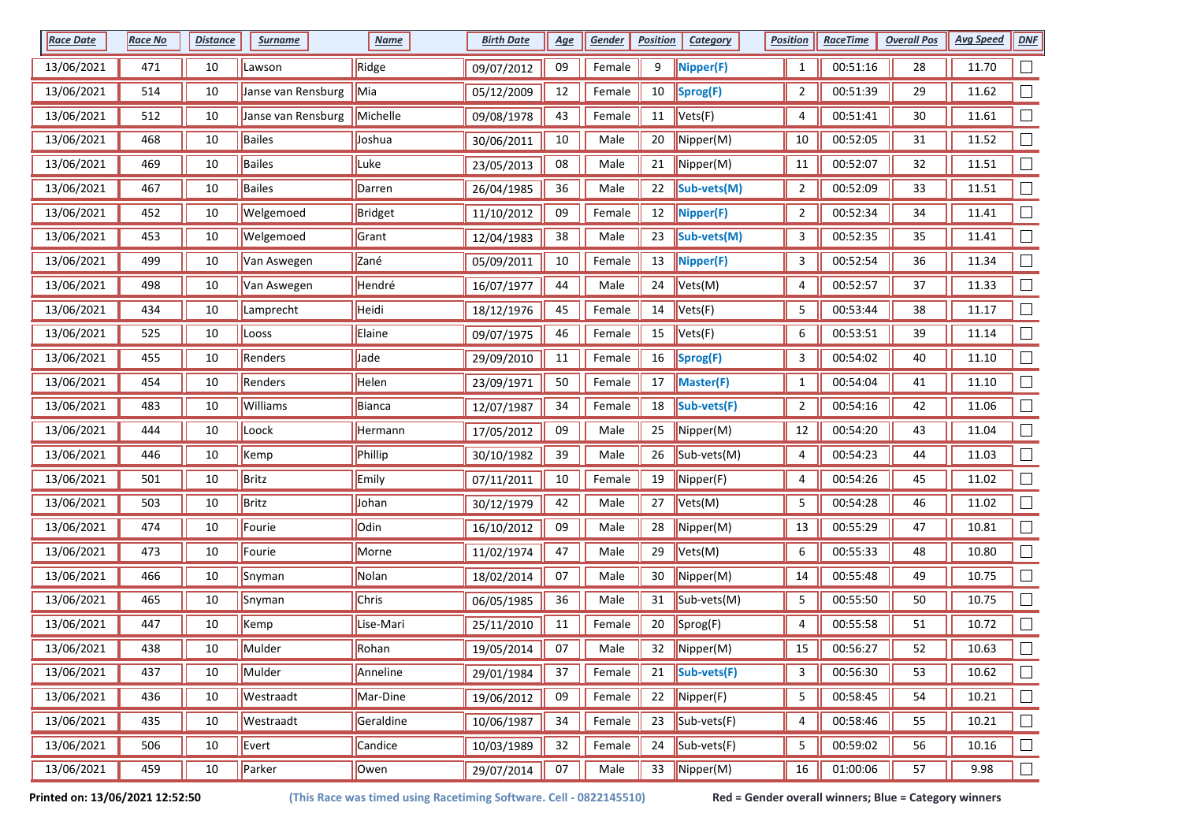| <b>Race Date</b> | <b>Race No</b> | <b>Distance</b> | <b>Surname</b>     | <b>Name</b> | <b>Birth Date</b> | <u>Age</u> | Gender | <b>Position</b> | <b>Category</b>                              | <b>Position</b> | <b>RaceTime</b> | <b>Overall Pos</b> | <b>Avg Speed</b> | DNE                      |
|------------------|----------------|-----------------|--------------------|-------------|-------------------|------------|--------|-----------------|----------------------------------------------|-----------------|-----------------|--------------------|------------------|--------------------------|
| 13/06/2021       | 471            | 10              | Lawson             | Ridge       | 09/07/2012        | 09         | Female | 9               | Nipper(F)                                    | $\mathbf{1}$    | 00:51:16        | 28                 | 11.70            |                          |
| 13/06/2021       | 514            | 10              | Janse van Rensburg | Mia         | 05/12/2009        | 12         | Female | 10              | $ $ Sprog(F)                                 | $\overline{2}$  | 00:51:39        | 29                 | 11.62            |                          |
| 13/06/2021       | 512            | 10              | Janse van Rensburg | Michelle    | 09/08/1978        | 43         | Female | 11              | Vets(F)                                      | 4               | 00:51:41        | 30                 | 11.61            |                          |
| 13/06/2021       | 468            | 10              | Bailes             | Joshua      | 30/06/2011        | 10         | Male   | 20              | $\blacksquare$ Nipper(M)                     | 10              | 00:52:05        | 31                 | 11.52            |                          |
| 13/06/2021       | 469            | 10              | Bailes             | Luke        | 23/05/2013        | 08         | Male   | 21              | $\sqrt{\mathsf{Nipper}(\mathsf{M})}$         | $11\,$          | 00:52:07        | 32                 | 11.51            |                          |
| 13/06/2021       | 467            | 10              | Bailes             | Darren      | 26/04/1985        | 36         | Male   | 22              | Sub-vets(M)                                  | $\overline{2}$  | 00:52:09        | 33                 | 11.51            | $\overline{\phantom{a}}$ |
| 13/06/2021       | 452            | 10              | Welgemoed          | Bridget     | 11/10/2012        | 09         | Female | 12              | $\sqrt{\text{Nipper(F)}}$                    | $\overline{2}$  | 00:52:34        | 34                 | 11.41            |                          |
| 13/06/2021       | 453            | 10              | Welgemoed          | Grant       | 12/04/1983        | 38         | Male   | 23              | Sub-vets(M)                                  | 3               | 00:52:35        | 35                 | 11.41            |                          |
| 13/06/2021       | 499            | 10              | Van Aswegen        | Zané        | 05/09/2011        | $10\,$     | Female | 13              | $\sqrt{\text{Nipper(F)}}$                    | 3               | 00:52:54        | 36                 | 11.34            |                          |
| 13/06/2021       | 498            | 10              | Van Aswegen        | Hendré      | 16/07/1977        | 44         | Male   | 24              | $\blacktriangleright$ Vets(M)                | 4               | 00:52:57        | 37                 | 11.33            |                          |
| 13/06/2021       | 434            | 10              | Lamprecht          | Heidi       | 18/12/1976        | 45         | Female | 14              | Vets(F)                                      | 5               | 00:53:44        | 38                 | 11.17            |                          |
| 13/06/2021       | 525            | 10              | Looss              | Elaine      | 09/07/1975        | 46         | Female | 15              | Vets(F)                                      | 6               | 00:53:51        | 39                 | 11.14            |                          |
| 13/06/2021       | 455            | 10              | Renders            | Jade        | 29/09/2010        | 11         | Female | 16              | Sprog(F)                                     | 3               | 00:54:02        | 40                 | 11.10            |                          |
| 13/06/2021       | 454            | 10              | Renders            | Helen       | 23/09/1971        | 50         | Female | 17              | Master(F)                                    | $\mathbf{1}$    | 00:54:04        | 41                 | 11.10            |                          |
| 13/06/2021       | 483            | 10              | Williams           | Bianca      | 12/07/1987        | 34         | Female | 18              | Sub-vets(F)                                  | $\overline{2}$  | 00:54:16        | 42                 | 11.06            |                          |
| 13/06/2021       | 444            | 10              | Loock              | Hermann     | 17/05/2012        | 09         | Male   | 25              | Nipper(M)                                    | 12              | 00:54:20        | 43                 | 11.04            |                          |
| 13/06/2021       | 446            | 10              | Kemp               | Phillip     | 30/10/1982        | 39         | Male   | 26              | $\vert$ Sub-vets(M)                          | 4               | 00:54:23        | 44                 | 11.03            |                          |
| 13/06/2021       | 501            | 10              | Britz              | Emily       | 07/11/2011        | 10         | Female | 19              | Nipper(F)                                    | 4               | 00:54:26        | 45                 | 11.02            |                          |
| 13/06/2021       | 503            | 10              | Britz              | Johan       | 30/12/1979        | 42         | Male   | 27              | Vets(M)                                      | 5               | 00:54:28        | 46                 | 11.02            |                          |
| 13/06/2021       | 474            | 10              | Fourie             | Odin        | 16/10/2012        | 09         | Male   | 28              | Nipper(M)                                    | 13              | 00:55:29        | 47                 | 10.81            |                          |
| 13/06/2021       | 473            | 10              | Fourie             | Morne       | 11/02/1974        | 47         | Male   | 29              | Vets(M)                                      | 6               | 00:55:33        | 48                 | 10.80            |                          |
| 13/06/2021       | 466            | 10              | Snyman             | Nolan       | 18/02/2014        | 07         | Male   | 30              | $\blacksquare$ Nipper(M)                     | 14              | 00:55:48        | 49                 | 10.75            |                          |
| 13/06/2021       | 465            | 10              | Snyman             | Chris       | 06/05/1985        | 36         | Male   | 31              | Sub-vets(M)                                  | 5               | 00:55:50        | 50                 | 10.75            |                          |
| 13/06/2021       | 447            | 10              | Kemp               | Lise-Mari   | 25/11/2010        | 11         | Female | 20              | Sprog(F)                                     | 4               | 00:55:58        | 51                 | 10.72            |                          |
| 13/06/2021       | 438            | 10              | Mulder             | Rohan       | 19/05/2014        | 07         | Male   | 32              | $\blacksquare$ Nipper(M)                     | 15              | 00:56:27        | 52                 | 10.63            |                          |
| 13/06/2021       | 437            | 10              | Mulder             | Anneline    | 29/01/1984        | 37         | Female | 21              | $\vert$ Sub-vets(F)                          | 3               | 00:56:30        | 53                 | 10.62            | $\Box$                   |
| 13/06/2021       | 436            | 10              | Westraadt          | Mar-Dine    | 19/06/2012        | 09         | Female | 22              | $\blacksquare$ Nipper(F)                     | 5               | 00:58:45        | 54                 | 10.21            | $\Box$                   |
| 13/06/2021       | 435            | 10              | Westraadt          | Geraldine   | 10/06/1987        | 34         | Female | 23              | $\left  \text{Sub-vets}(\mathsf{F}) \right $ | 4               | 00:58:46        | 55                 | 10.21            | $\Box$                   |
| 13/06/2021       | 506            | 10              | Evert              | Candice     | 10/03/1989        | 32         | Female | 24              | $\left  \text{Sub-vets}(\mathsf{F}) \right $ | 5               | 00:59:02        | 56                 | 10.16            | $\Box$                   |
| 13/06/2021       | 459            | $10\,$          | Parker             | Owen        | 29/07/2014        | 07         | Male   | 33              | $\sqrt{\text{Nipper(M)}}$                    | 16              | 01:00:06        | 57                 | 9.98             | $\Box$                   |